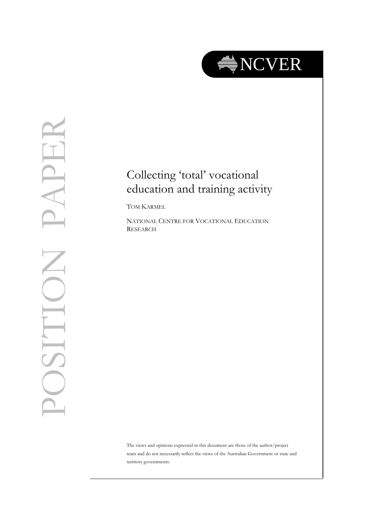

## Collecting 'total' vocational education and training activity<br>TOM KARMEL

NATIONAL CENTRE FOR VOCATIONAL EDUCATION RESEARCH

The views and opinions expressed in this document are those of the author/project team and do not necessarily reflect the views of the Australian Government or state and territory governments.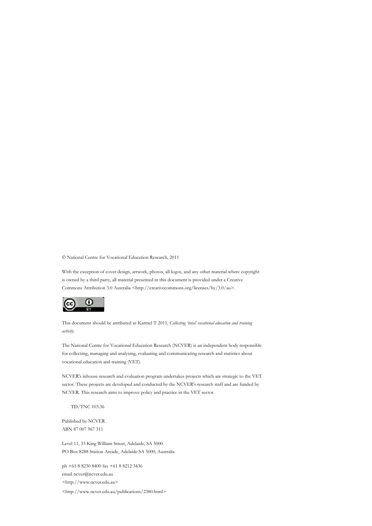© National Centre for Vocational Education Research, 2011

With the exception of cover design, artwork, photos, all logos, and any other material where copyright is owned by a third party, all material presented in this document is provided under a Creative Commons Attribution 3.0 Australia <http://creativecommons.org/licenses/by/3.0/au>.



This document should be attributed as Karmel T 2011, *Collecting 'total' vocational education and training activity.*

The National Centre for Vocational Education Research (NCVER) is an independent body responsible for collecting, managing and analysing, evaluating and communicating research and statistics about vocational education and training (VET).

NCVER's inhouse research and evaluation program undertakes projects which are strategic to the VET sector. These projects are developed and conducted by the NCVER's research staff and are funded by NCVER. This research aims to improve policy and practice in the VET sector.

TD/TNC 103.36

Published by NCVER ABN 87 007 967 311

Level 11, 33 King William Street, Adelaide, SA 5000 PO Box 8288 Station Arcade, Adelaide SA 5000, Australia

ph +61 8 8230 8400 fax +61 8 8212 3436 email ncver@ncver.edu.au <http://www.ncver.edu.au> <http://www.ncver.edu.au/publications/2380.html>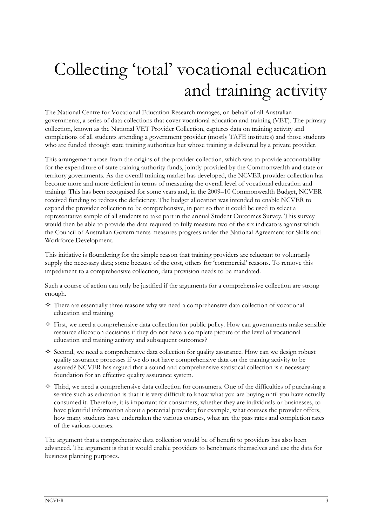## Collecting 'total' vocational education and training activity

The National Centre for Vocational Education Research manages, on behalf of all Australian governments, a series of data collections that cover vocational education and training (VET). The primary collection, known as the National VET Provider Collection, captures data on training activity and completions of all students attending a government provider (mostly TAFE institutes) and those students who are funded through state training authorities but whose training is delivered by a private provider.

This arrangement arose from the origins of the provider collection, which was to provide accountability for the expenditure of state training authority funds, jointly provided by the Commonwealth and state or territory governments. As the overall training market has developed, the NCVER provider collection has become more and more deficient in terms of measuring the overall level of vocational education and training. This has been recognised for some years and, in the 2009–10 Commonwealth Budget, NCVER received funding to redress the deficiency. The budget allocation was intended to enable NCVER to expand the provider collection to be comprehensive, in part so that it could be used to select a representative sample of all students to take part in the annual Student Outcomes Survey. This survey would then be able to provide the data required to fully measure two of the six indicators against which the Council of Australian Governments measures progress under the National Agreement for Skills and Workforce Development.

This initiative is floundering for the simple reason that training providers are reluctant to voluntarily supply the necessary data; some because of the cost, others for 'commercial' reasons. To remove this impediment to a comprehensive collection, data provision needs to be mandated.

Such a course of action can only be justified if the arguments for a comprehensive collection are strong enough.

- $\diamondsuit$  There are essentially three reasons why we need a comprehensive data collection of vocational education and training.
- $\diamond$  First, we need a comprehensive data collection for public policy. How can governments make sensible resource allocation decisions if they do not have a complete picture of the level of vocational education and training activity and subsequent outcomes?
- $\diamond$  Second, we need a comprehensive data collection for quality assurance. How can we design robust quality assurance processes if we do not have comprehensive data on the training activity to be assured? NCVER has argued that a sound and comprehensive statistical collection is a necessary foundation for an effective quality assurance system.
- $\diamond$  Third, we need a comprehensive data collection for consumers. One of the difficulties of purchasing a service such as education is that it is very difficult to know what you are buying until you have actually consumed it. Therefore, it is important for consumers, whether they are individuals or businesses, to have plentiful information about a potential provider; for example, what courses the provider offers, how many students have undertaken the various courses, what are the pass rates and completion rates of the various courses.

The argument that a comprehensive data collection would be of benefit to providers has also been advanced. The argument is that it would enable providers to benchmark themselves and use the data for business planning purposes.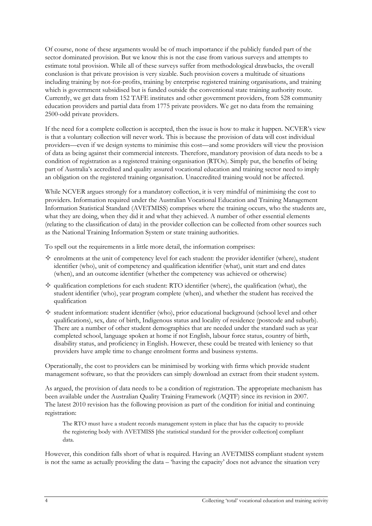Of course, none of these arguments would be of much importance if the publicly funded part of the sector dominated provision. But we know this is not the case from various surveys and attempts to estimate total provision. While all of these surveys suffer from methodological drawbacks, the overall conclusion is that private provision is very sizable. Such provision covers a multitude of situations including training by not-for-profits, training by enterprise registered training organisations, and training which is government subsidised but is funded outside the conventional state training authority route. Currently, we get data from 152 TAFE institutes and other government providers, from 528 community education providers and partial data from 1775 private providers. We get no data from the remaining 2500-odd private providers.

If the need for a complete collection is accepted, then the issue is how to make it happen. NCVER's view is that a voluntary collection will never work. This is because the provision of data will cost individual providers—even if we design systems to minimise this cost—and some providers will view the provision of data as being against their commercial interests. Therefore, mandatory provision of data needs to be a condition of registration as a registered training organisation (RTOs). Simply put, the benefits of being part of Australia's accredited and quality assured vocational education and training sector need to imply an obligation on the registered training organisation. Unaccredited training would not be affected.

While NCVER argues strongly for a mandatory collection, it is very mindful of minimising the cost to providers. Information required under the Australian Vocational Education and Training Management Information Statistical Standard (AVETMISS) comprises where the training occurs, who the students are, what they are doing, when they did it and what they achieved. A number of other essential elements (relating to the classification of data) in the provider collection can be collected from other sources such as the National Training Information System or state training authorities.

To spell out the requirements in a little more detail, the information comprises:

- $\diamond$  enrolments at the unit of competency level for each student: the provider identifier (where), student identifier (who), unit of competency and qualification identifier (what), unit start and end dates (when), and an outcome identifier (whether the competency was achieved or otherwise)
- $\diamond$  qualification completions for each student: RTO identifier (where), the qualification (what), the student identifier (who), year program complete (when), and whether the student has received the qualification
- $\diamond$  student information: student identifier (who), prior educational background (school level and other qualifications), sex, date of birth, Indigenous status and locality of residence (postcode and suburb). There are a number of other student demographics that are needed under the standard such as year completed school, language spoken at home if not English, labour force status, country of birth, disability status, and proficiency in English. However, these could be treated with leniency so that providers have ample time to change enrolment forms and business systems.

Operationally, the cost to providers can be minimised by working with firms which provide student management software, so that the providers can simply download an extract from their student system.

As argued, the provision of data needs to be a condition of registration. The appropriate mechanism has been available under the Australian Quality Training Framework (AQTF) since its revision in 2007. The latest 2010 revision has the following provision as part of the condition for initial and continuing registration:

The RTO must have a student records management system in place that has the capacity to provide the registering body with AVETMISS [the statistical standard for the provider collection] compliant data.

However, this condition falls short of what is required. Having an AVETMISS compliant student system is not the same as actually providing the data – 'having the capacity' does not advance the situation very